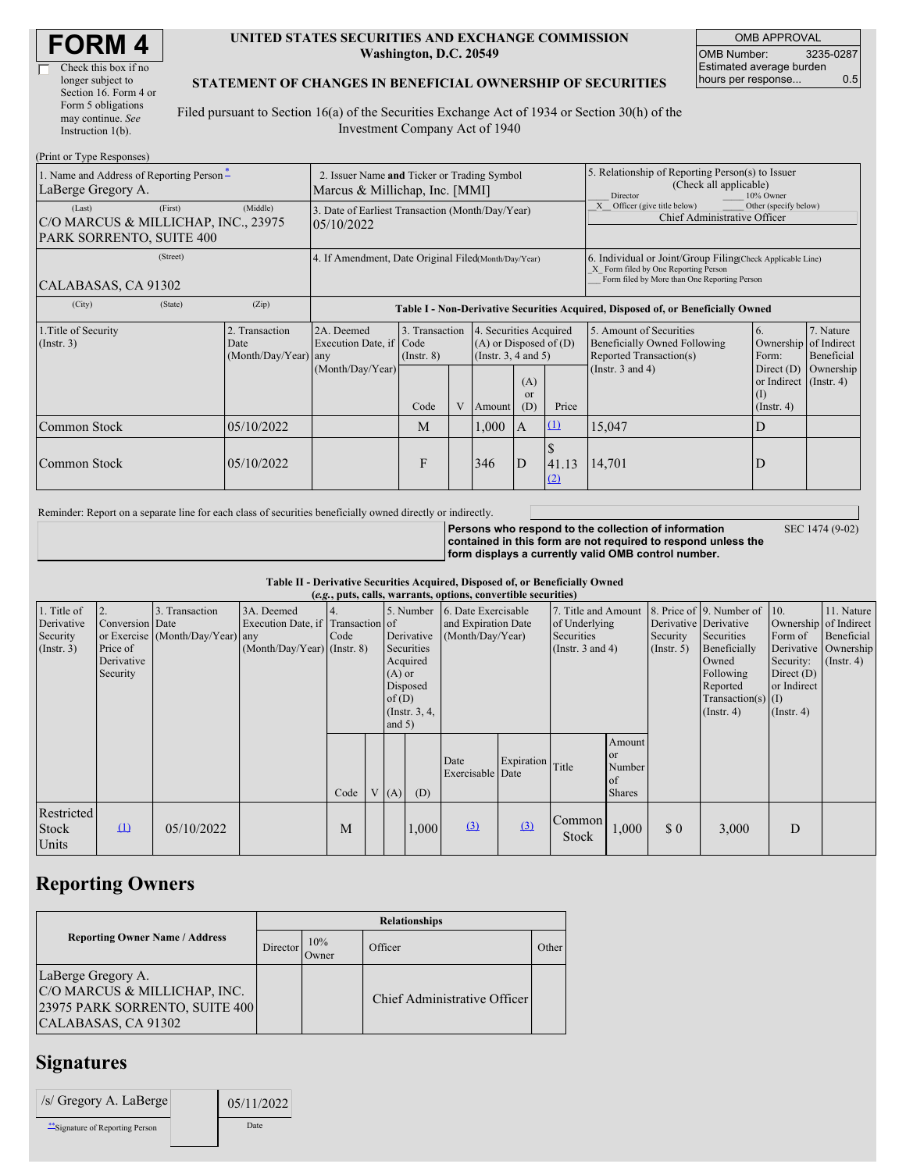| <b>FORM 4</b> |
|---------------|
|---------------|

 $\Box$ 

#### **UNITED STATES SECURITIES AND EXCHANGE COMMISSION Washington, D.C. 20549**

OMB APPROVAL OMB Number: 3235-0287 Estimated average burden hours per response... 0.5

#### **STATEMENT OF CHANGES IN BENEFICIAL OWNERSHIP OF SECURITIES**

Filed pursuant to Section 16(a) of the Securities Exchange Act of 1934 or Section 30(h) of the Investment Company Act of 1940

| (Print or Type Responses)                                                                  |                                                                               |                                                                                  |                                   |   |                                                                              |                        |                                                                                                                                                    |                                                                                    |                                                                        |                         |
|--------------------------------------------------------------------------------------------|-------------------------------------------------------------------------------|----------------------------------------------------------------------------------|-----------------------------------|---|------------------------------------------------------------------------------|------------------------|----------------------------------------------------------------------------------------------------------------------------------------------------|------------------------------------------------------------------------------------|------------------------------------------------------------------------|-------------------------|
| 1. Name and Address of Reporting Person-<br>LaBerge Gregory A.                             | 2. Issuer Name and Ticker or Trading Symbol<br>Marcus & Millichap, Inc. [MMI] |                                                                                  |                                   |   |                                                                              |                        | 5. Relationship of Reporting Person(s) to Issuer<br>(Check all applicable)<br>10% Owner<br>Director                                                |                                                                                    |                                                                        |                         |
| (Last)<br>(First)<br>C/O MARCUS & MILLICHAP, INC., 23975<br>PARK SORRENTO, SUITE 400       | 3. Date of Earliest Transaction (Month/Day/Year)<br>05/10/2022                |                                                                                  |                                   |   |                                                                              |                        | Other (specify below)<br>Officer (give title below)<br>Chief Administrative Officer                                                                |                                                                                    |                                                                        |                         |
| (Street)<br>CALABASAS, CA 91302                                                            | 4. If Amendment, Date Original Filed(Month/Day/Year)                          |                                                                                  |                                   |   |                                                                              |                        | 6. Individual or Joint/Group Filing(Check Applicable Line)<br>X Form filed by One Reporting Person<br>Form filed by More than One Reporting Person |                                                                                    |                                                                        |                         |
| (City)<br>(State)                                                                          | (Zip)                                                                         | Table I - Non-Derivative Securities Acquired, Disposed of, or Beneficially Owned |                                   |   |                                                                              |                        |                                                                                                                                                    |                                                                                    |                                                                        |                         |
| 1. Title of Security<br>2. Transaction<br>$($ Instr. 3 $)$<br>Date<br>(Month/Day/Year) any |                                                                               | 2A. Deemed<br>Execution Date, if Code                                            | 3. Transaction<br>$($ Instr. $8)$ |   | 4. Securities Acquired<br>$(A)$ or Disposed of $(D)$<br>(Insert. 3, 4 and 5) |                        |                                                                                                                                                    | 5. Amount of Securities<br>Beneficially Owned Following<br>Reported Transaction(s) | 6.<br>Ownership of Indirect<br>Form:                                   | 7. Nature<br>Beneficial |
|                                                                                            |                                                                               | (Month/Day/Year)                                                                 | Code                              | V | Amount                                                                       | (A)<br>$\alpha$<br>(D) | Price                                                                                                                                              | (Instr. $3$ and $4$ )                                                              | Direct $(D)$<br>or Indirect (Instr. 4)<br>$\rm(I)$<br>$($ Instr. 4 $)$ | Ownership               |
| Common Stock                                                                               | 05/10/2022                                                                    |                                                                                  | M                                 |   | 1,000                                                                        | $\mathbf{A}$           | (1)                                                                                                                                                | 15,047                                                                             | D                                                                      |                         |
| Common Stock                                                                               | 05/10/2022                                                                    |                                                                                  | F                                 |   | 346                                                                          | D                      | 41.13<br>(2)                                                                                                                                       | 14,701                                                                             | D                                                                      |                         |

Reminder: Report on a separate line for each class of securities beneficially owned directly or indirectly.

**Persons who respond to the collection of information contained in this form are not required to respond unless the form displays a currently valid OMB control number.** SEC 1474 (9-02)

**Table II - Derivative Securities Acquired, Disposed of, or Beneficially Owned**

| (e.g., puts, calls, warrants, options, convertible securities) |                                                             |                                                    |                                                                                  |      |  |                                  |                                                                                  |                                                                |                  |                                                                             |                                                          |                                                       |                                                                                                                                          |                                                                                                  |                                                                      |
|----------------------------------------------------------------|-------------------------------------------------------------|----------------------------------------------------|----------------------------------------------------------------------------------|------|--|----------------------------------|----------------------------------------------------------------------------------|----------------------------------------------------------------|------------------|-----------------------------------------------------------------------------|----------------------------------------------------------|-------------------------------------------------------|------------------------------------------------------------------------------------------------------------------------------------------|--------------------------------------------------------------------------------------------------|----------------------------------------------------------------------|
| 1. Title of<br>Derivative<br>Security<br>$($ Instr. 3 $)$      | 2.<br>Conversion Date<br>Price of<br>Derivative<br>Security | 3. Transaction<br>or Exercise (Month/Day/Year) any | 3A. Deemed<br>Execution Date, if Transaction of<br>$(Month/Day/Year)$ (Instr. 8) | Code |  | $(A)$ or<br>of $(D)$<br>and $5)$ | 5. Number<br>Derivative<br>Securities<br>Acquired<br>Disposed<br>(Instr. $3, 4,$ | 6. Date Exercisable<br>and Expiration Date<br>(Month/Day/Year) |                  | 7. Title and Amount<br>of Underlying<br>Securities<br>(Instr. $3$ and $4$ ) |                                                          | Derivative Derivative<br>Security<br>$($ Instr. 5 $)$ | 8. Price of 9. Number of 10.<br>Securities<br>Beneficially<br>Owned<br>Following<br>Reported<br>$Transaction(s)$ (I)<br>$($ Instr. 4 $)$ | Ownership of Indirect<br>Form of<br>Security:<br>Direct $(D)$<br>or Indirect<br>$($ Instr. 4 $)$ | 11. Nature<br>Beneficial<br>Derivative Ownership<br>$($ Instr. 4 $)$ |
|                                                                |                                                             |                                                    |                                                                                  | Code |  | V(A)                             | (D)                                                                              | Date<br>Exercisable Date                                       | Expiration Title |                                                                             | Amount<br><sub>or</sub><br>Number<br>of<br><b>Shares</b> |                                                       |                                                                                                                                          |                                                                                                  |                                                                      |
| Restricted<br>Stock<br>Units                                   | $\Omega$                                                    | 05/10/2022                                         |                                                                                  | M    |  |                                  | 1,000                                                                            | $\left( \frac{3}{2} \right)$                                   | (3)              | Common<br>Stock                                                             | 1,000                                                    | $\boldsymbol{\mathsf{S}}\boldsymbol{\mathsf{0}}$      | 3,000                                                                                                                                    | D                                                                                                |                                                                      |

## **Reporting Owners**

|                                                                                                             | <b>Relationships</b> |              |                              |       |  |  |  |  |  |
|-------------------------------------------------------------------------------------------------------------|----------------------|--------------|------------------------------|-------|--|--|--|--|--|
| <b>Reporting Owner Name / Address</b>                                                                       | Director             | 10%<br>Owner | Officer                      | Other |  |  |  |  |  |
| LaBerge Gregory A.<br>C/O MARCUS & MILLICHAP, INC.<br>23975 PARK SORRENTO, SUITE 400<br>CALABASAS, CA 91302 |                      |              | Chief Administrative Officer |       |  |  |  |  |  |

# **Signatures**

| /s/ Gregory A. LaBerge         | 05/11/2022 |
|--------------------------------|------------|
| "Signature of Reporting Person | Date       |